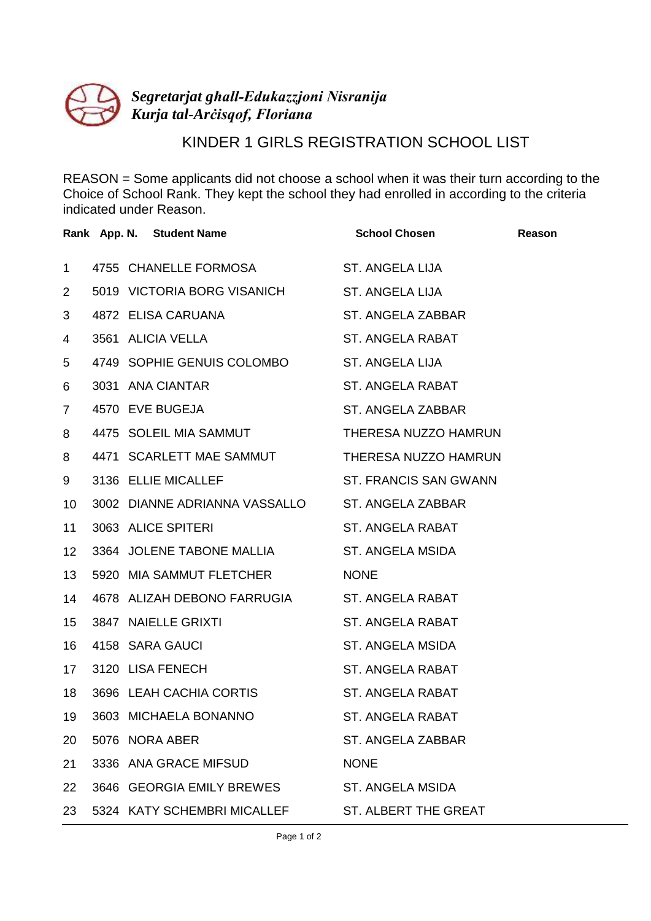

## KINDER 1 GIRLS REGISTRATION SCHOOL LIST

REASON = Some applicants did not choose a school when it was their turn according to the Choice of School Rank. They kept the school they had enrolled in according to the criteria indicated under Reason.

|                 | Rank App. N. Student Name                    | <b>School Chosen</b>         | Reason |
|-----------------|----------------------------------------------|------------------------------|--------|
| $\mathbf 1$     | 4755 CHANELLE FORMOSA                        | ST. ANGELA LIJA              |        |
| $\overline{2}$  | 5019 VICTORIA BORG VISANICH                  | ST. ANGELA LIJA              |        |
| 3               | 4872 ELISA CARUANA                           | ST. ANGELA ZABBAR            |        |
| 4               | 3561 ALICIA VELLA                            | ST. ANGELA RABAT             |        |
| 5               | 4749 SOPHIE GENUIS COLOMBO ST. ANGELA LIJA   |                              |        |
| 6               | 3031 ANA CIANTAR                             | ST. ANGELA RABAT             |        |
| $\overline{7}$  | 4570 EVE BUGEJA                              | ST. ANGELA ZABBAR            |        |
| 8               | 4475 SOLEIL MIA SAMMUT                       | THERESA NUZZO HAMRUN         |        |
| 8               | 4471 SCARLETT MAE SAMMUT                     | THERESA NUZZO HAMRUN         |        |
| 9               | 3136 ELLIE MICALLEF                          | <b>ST. FRANCIS SAN GWANN</b> |        |
| 10              | 3002 DIANNE ADRIANNA VASSALLO                | ST. ANGELA ZABBAR            |        |
| 11              | 3063 ALICE SPITERI                           | <b>ST. ANGELA RABAT</b>      |        |
| 12 <sup>2</sup> | 3364 JOLENE TABONE MALLIA                    | ST. ANGELA MSIDA             |        |
| 13              | 5920 MIA SAMMUT FLETCHER                     | <b>NONE</b>                  |        |
| 14              | 4678 ALIZAH DEBONO FARRUGIA ST. ANGELA RABAT |                              |        |
| 15              | 3847 NAIELLE GRIXTI                          | <b>ST. ANGELA RABAT</b>      |        |
| 16              | 4158 SARA GAUCI                              | ST. ANGELA MSIDA             |        |
| 17              | 3120 LISA FENECH                             | <b>ST. ANGELA RABAT</b>      |        |
| 18              | 3696 LEAH CACHIA CORTIS                      | ST. ANGELA RABAT             |        |
| 19              | 3603 MICHAELA BONANNO                        | ST. ANGELA RABAT             |        |
| 20              | 5076 NORA ABER                               | ST. ANGELA ZABBAR            |        |
| 21              | 3336 ANA GRACE MIFSUD                        | <b>NONE</b>                  |        |
| 22              | 3646 GEORGIA EMILY BREWES                    | <b>ST. ANGELA MSIDA</b>      |        |
| 23              | 5324 KATY SCHEMBRI MICALLEF                  | ST. ALBERT THE GREAT         |        |